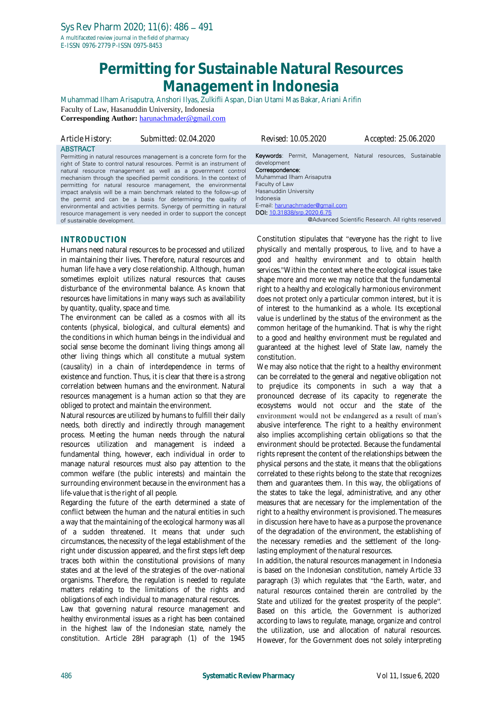# **Permitting for Sustainable Natural Resources Management in Indonesia**

Muhammad Ilham Arisaputra, Anshori Ilyas, Zulkifli Aspan, Dian Utami Mas Bakar, Ariani Arifin Faculty of Law, Hasanuddin University, Indonesia **Corresponding Author:** [harunachmader@gmail.com](mailto:harunachmader@gmail.com)

*Article History: Submitted: 02.04.2020 Revised: 10.05.2020 Accepted: 25.06.2020*

#### **ABSTRACT**

Permitting in natural resources management is a concrete form for the right of State to control natural resources. Permit is an instrument of natural resource management as well as a government control mechanism through the specified permit conditions. In the context of permitting for natural resource management, the environmental impact analysis will be a main benchmark related to the follow-up of the permit and can be a basis for determining the quality of environmental and activities permits. Synergy of permitting in natural resource management is very needed in order to support the concept of sustainable development.

## **INTRODUCTION**

Humans need natural resources to be processed and utilized in maintaining their lives. Therefore, natural resources and human life have a very close relationship. Although, human sometimes exploit utilizes natural resources that causes disturbance of the environmental balance. As known that resources have limitations in many ways such as availability by quantity, quality, space and time.

The environment can be called as a cosmos with all its contents (physical, biological, and cultural elements) and the conditions in which human beings in the individual and social sense become the dominant living things among all other living things which all constitute a mutual system (*causality*) in a chain of interdependence in terms of existence and function. Thus, it is clear that there is a strong correlation between humans and the environment. Natural resources management is a human action so that they are obliged to protect and maintain the environment.

Natural resources are utilized by humans to fulfill their daily needs, both directly and indirectly through management process. Meeting the human needs through the natural resources utilization and management is indeed a fundamental thing, however, each individual in order to manage natural resources must also pay attention to the common welfare (the public interests) and maintain the surrounding environment because in the environment has a life-value that is the right of all people.

Regarding the future of the earth determined a state of conflict between the human and the natural entities in such a way that the maintaining of the ecological harmony was all of a sudden threatened. It means that under such circumstances, the necessity of the legal establishment of the right under discussion appeared, and the first steps left deep traces both within the constitutional provisions of many states and at the level of the strategies of the over-national organisms. Therefore, the regulation is needed to regulate matters relating to the limitations of the rights and obligations of each individual to manage natural resources.

Law that governing natural resource management and healthy environmental issues as a right has been contained in the highest law of the Indonesian state, namely the constitution. Article 28H paragraph (1) of the 1945 Keywords: Permit, Management, Natural resources, Sustainable development Correspondence: Muhammad Ilham Arisaputra Faculty of Law Hasanuddin University Indonesia E-mail: [harunachmader@gmail.com](mailto:harunachmader@gmail.com) DOI: [10.31838/srp.2020.6.75](http://dx.doi.org/10.5530/srp.2019.2.04) @Advanced Scientific Research. All rights reserved

Constitution stipulates that *everyone has the right to live physically and mentally prosperous, to live, and to have a good and healthy environment and to obtain health services*. Within the context where the ecological issues take shape more and more we may notice that the fundamental right to a healthy and ecologically harmonious environment does not protect only a particular common interest, but it is of interest to the humankind as a whole. Its exceptional value is underlined by the status of the environment as the common heritage of the humankind. That is why the right to a good and healthy environment must be regulated and guaranteed at the highest level of State law, namely the constitution.

We may also notice that the right to a healthy environment can be correlated to the general and negative obligation not to prejudice its components in such a way that a pronounced decrease of its capacity to regenerate the ecosystems would not occur and the state of the environment would not be endangered as a result of man's abusive interference. The right to a healthy environment also implies accomplishing certain obligations so that the environment should be protected. Because the fundamental rights represent the content of the relationships between the physical persons and the state, it means that the obligations correlated to these rights belong to the state that recognizes them and guarantees them. In this way, the obligations of the states to take the legal, administrative, and any other measures that are necessary for the implementation of the right to a healthy environment is provisioned. The measures in discussion here have to have as a purpose the provenance of the degradation of the environment, the establishing of the necessary remedies and the settlement of the longlasting employment of the natural resources.

In addition, the natural resources management in Indonesia is based on the Indonesian constitution, namely Article 33 paragraph (3) which regulates that "the Earth, water, and *natural resources contained therein are controlled by the*  State and utilized for the greatest prosperity of the people". Based on this article, the Government is authorized according to laws to regulate, manage, organize and control the utilization, use and allocation of natural resources. However, for the Government does not solely interpreting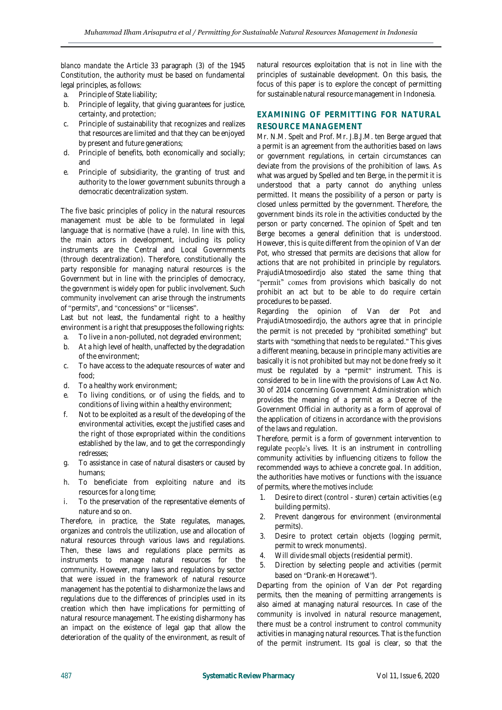*blanco mandate* the Article 33 paragraph (3) of the 1945 Constitution, the authority must be based on fundamental legal principles, as follows:

- a. Principle of State liability;
- b. Principle of legality, that giving guarantees for justice, certainty, and protection;
- c. Principle of sustainability that recognizes and realizes that resources are limited and that they can be enjoyed by present and future generations;
- d. Principle of benefits, both economically and socially; and
- e. Principle of subsidiarity, the granting of trust and authority to the lower government subunits through a democratic decentralization system.

The five basic principles of policy in the natural resources management must be able to be formulated in legal language that is normative (have a rule). In line with this, the main actors in development, including its policy instruments are the Central and Local Governments (through decentralization). Therefore, constitutionally the party responsible for managing natural resources is the Government but in line with the principles of democracy, the government is widely open for public involvement. Such community involvement can arise through the instruments of "permits", and "concessions" or "licenses".

Last but not least, the fundamental right to a healthy environment is a right that presupposes the following rights:

- a. To live in a non-polluted, not degraded environment;
- b. At a high level of health, unaffected by the degradation of the environment;
- c. To have access to the adequate resources of water and food;
- d. To a healthy work environment;
- e. To living conditions, or of using the fields, and to conditions of living within a healthy environment;
- f. Not to be exploited as a result of the developing of the environmental activities, except the justified cases and the right of those expropriated within the conditions established by the law, and to get the correspondingly redresses;
- g. To assistance in case of natural disasters or caused by humans;
- h. To beneficiate from exploiting nature and its resources for a long time;
- i. To the preservation of the representative elements of nature and so on.

Therefore, in practice, the State regulates, manages, organizes and controls the utilization, use and allocation of natural resources through various laws and regulations. Then, these laws and regulations place permits as instruments to manage natural resources for the community. However, many laws and regulations by sector that were issued in the framework of natural resource management has the potential to disharmonize the laws and regulations due to the differences of principles used in its creation which then have implications for permitting of natural resource management. The existing disharmony has an impact on the existence of legal gap that allow the deterioration of the quality of the environment, as result of natural resources exploitation that is not in line with the principles of sustainable development. On this basis, the focus of this paper is to explore the concept of permitting for sustainable natural resource management in Indonesia.

## **EXAMINING OF PERMITTING FOR NATURAL RESOURCE MANAGEMENT**

Mr. N.M. Spelt and Prof. Mr. J.B.J.M. ten Berge argued that a permit is an agreement from the authorities based on laws or government regulations, in certain circumstances can deviate from the provisions of the prohibition of laws. As what was argued by Spelled and ten Berge, in the permit it is understood that a party cannot do anything unless permitted. It means the possibility of a person or party is closed unless permitted by the government. Therefore, the government binds its role in the activities conducted by the person or party concerned. The opinion of Spelt and ten Berge becomes a general definition that is understood. However, this is quite different from the opinion of Van der Pot, who stressed that permits are decisions that allow for actions that are not prohibited in principle by regulators. PrajudiAtmosoedirdjo also stated the same thing that "permit" comes from provisions which basically do not prohibit an act but to be able to do require certain procedures to be passed.

Regarding the opinion of Van der Pot and PrajudiAtmosoedirdjo, the authors agree that in principle the permit is not preceded by "*prohibited something*" but starts with "something that needs to be regulated." This gives a different meaning, because in principle many activities are basically it is not prohibited but may not be done freely so it must be regulated by a "permit" instrument. This is considered to be in line with the provisions of Law Act No. 30 of 2014 concerning Government Administration which provides the meaning of a permit as a Decree of the Government Official in authority as a form of approval of the application of citizens in accordance with the provisions of the laws and regulation.

Therefore, permit is a form of government intervention to regulate people's lives. It is an instrument in controlling community activities by influencing citizens to follow the recommended ways to achieve a concrete goal. In addition, the authorities have motives or functions with the issuance of permits, where the motives include:

- 1. Desire to direct (control *sturen*) certain activities (e.g building permits).
- 2. Prevent dangerous for environment (environmental permits).
- 3. Desire to protect certain objects (logging permit, permit to wreck monuments).
- 4. Will divide small objects (residential permit).
- 5. Direction by selecting people and activities (permit based on "Drank-en Horecawet").

Departing from the opinion of Van der Pot regarding permits, then the meaning of permitting arrangements is also aimed at managing natural resources. In case of the community is involved in natural resource management, there must be a control instrument to control community activities in managing natural resources. That is the function of the permit instrument. Its goal is clear, so that the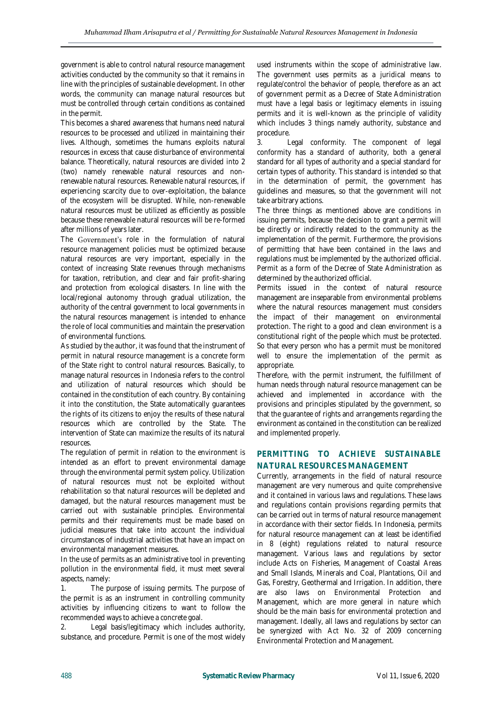government is able to control natural resource management activities conducted by the community so that it remains in line with the principles of sustainable development. In other words, the community can manage natural resources but must be controlled through certain conditions as contained in the permit.

This becomes a shared awareness that humans need natural resources to be processed and utilized in maintaining their lives. Although, sometimes the humans exploits natural resources in excess that cause disturbance of environmental balance. Theoretically, natural resources are divided into 2 (two) namely renewable natural resources and nonrenewable natural resources. Renewable natural resources, if experiencing scarcity due to over-exploitation, the balance of the ecosystem will be disrupted. While, non-renewable natural resources must be utilized as efficiently as possible because these renewable natural resources will be re-formed after millions of years later.

The Government's role in the formulation of natural resource management policies must be optimized because natural resources are very important, especially in the context of increasing State revenues through mechanisms for taxation, retribution, and clear and fair profit-sharing and protection from ecological disasters. In line with the local/regional autonomy through gradual utilization, the authority of the central government to local governments in the natural resources management is intended to enhance the role of local communities and maintain the preservation of environmental functions.

As studied by the author, it was found that the instrument of permit in natural resource management is a concrete form of the State right to control natural resources. Basically, to manage natural resources in Indonesia refers to the control and utilization of natural resources which should be contained in the constitution of each country. By containing it into the constitution, the State automatically guarantees the rights of its citizens to enjoy the results of these natural resources which are controlled by the State. The intervention of State can maximize the results of its natural resources.

The regulation of permit in relation to the environment is intended as an effort to prevent environmental damage through the environmental permit system policy. Utilization of natural resources must not be exploited without rehabilitation so that natural resources will be depleted and damaged, but the natural resources management must be carried out with sustainable principles. Environmental permits and their requirements must be made based on judicial measures that take into account the individual circumstances of industrial activities that have an impact on environmental management measures.

In the use of permits as an administrative tool in preventing pollution in the environmental field, it must meet several aspects, namely:

1. The purpose of issuing permits. The purpose of the permit is as an instrument in controlling community activities by influencing citizens to want to follow the recommended ways to achieve a concrete goal.

2. Legal basis/legitimacy which includes authority, substance, and procedure. Permit is one of the most widely used instruments within the scope of administrative law. The government uses permits as a juridical means to regulate/control the behavior of people, therefore as an act of government permit as a Decree of State Administration must have a legal basis or legitimacy elements in issuing permits and it is well-known as the principle of validity which includes 3 things namely authority, substance and procedure.

3. Legal conformity. The component of legal conformity has a standard of authority, both a general standard for all types of authority and a special standard for certain types of authority. This standard is intended so that in the determination of permit, the government has guidelines and measures, so that the government will not take arbitrary actions.

The three things as mentioned above are conditions in issuing permits, because the decision to grant a permit will be directly or indirectly related to the community as the implementation of the permit. Furthermore, the provisions of permitting that have been contained in the laws and regulations must be implemented by the authorized official. Permit as a form of the Decree of State Administration as determined by the authorized official.

Permits issued in the context of natural resource management are inseparable from environmental problems where the natural resources management must considers the impact of their management on environmental protection. The right to a good and clean environment is a constitutional right of the people which must be protected. So that every person who has a permit must be monitored well to ensure the implementation of the permit as appropriate.

Therefore, with the permit instrument, the fulfillment of human needs through natural resource management can be achieved and implemented in accordance with the provisions and principles stipulated by the government, so that the guarantee of rights and arrangements regarding the environment as contained in the constitution can be realized and implemented properly.

## **PERMITTING TO ACHIEVE SUSTAINABLE NATURAL RESOURCES MANAGEMENT**

Currently, arrangements in the field of natural resource management are very numerous and quite comprehensive and it contained in various laws and regulations. These laws and regulations contain provisions regarding permits that can be carried out in terms of natural resource management in accordance with their sector fields. In Indonesia, permits for natural resource management can at least be identified in 8 (eight) regulations related to natural resource management. Various laws and regulations by sector include Acts on Fisheries, Management of Coastal Areas and Small Islands, Minerals and Coal, Plantations, Oil and Gas, Forestry, Geothermal and Irrigation. In addition, there are also laws on Environmental Protection and Management, which are more general in nature which should be the main basis for environmental protection and management. Ideally, all laws and regulations by sector can be synergized with Act No. 32 of 2009 concerning Environmental Protection and Management.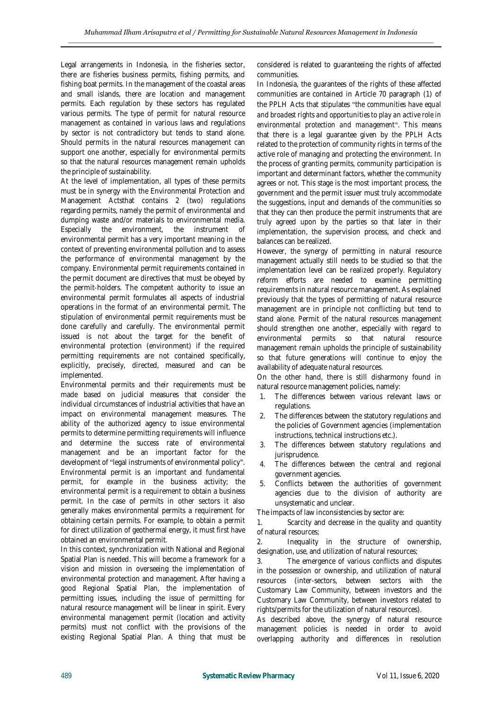Legal arrangements in Indonesia, in the fisheries sector, there are fisheries business permits, fishing permits, and fishing boat permits. In the management of the coastal areas and small islands, there are location and management permits. Each regulation by these sectors has regulated various permits. The type of permit for natural resource management as contained in various laws and regulations by sector is not contradictory but tends to stand alone. Should permits in the natural resources management can support one another, especially for environmental permits so that the natural resources management remain upholds the principle of sustainability.

At the level of implementation, all types of these permits must be in synergy with the Environmental Protection and Management Actsthat contains 2 (two) regulations regarding permits, namely the permit of environmental and dumping waste and/or materials to environmental media. Especially the environment, the instrument of environmental permit has a very important meaning in the context of preventing environmental pollution and to assess the performance of environmental management by the company. Environmental permit requirements contained in the permit document are directives that must be obeyed by the permit-holders. The competent authority to issue an environmental permit formulates all aspects of industrial operations in the format of an environmental permit. The stipulation of environmental permit requirements must be done carefully and carefully. The environmental permit issued is not about the target for the benefit of environmental protection (environment) if the required permitting requirements are not contained specifically, explicitly, precisely, directed, measured and can be implemented.

Environmental permits and their requirements must be made based on judicial measures that consider the individual circumstances of industrial activities that have an impact on environmental management measures. The ability of the authorized agency to issue environmental permits to determine permitting requirements will influence and determine the success rate of environmental management and be an important factor for the development of "legal instruments of environmental policy". Environmental permit is an important and fundamental permit, for example in the business activity; the environmental permit is a requirement to obtain a business permit. In the case of permits in other sectors it also generally makes environmental permits a requirement for obtaining certain permits. For example, to obtain a permit for direct utilization of geothermal energy, it must first have obtained an environmental permit.

In this context, synchronization with National and Regional Spatial Plan is needed. This will become a framework for a vision and mission in overseeing the implementation of environmental protection and management. After having a good Regional Spatial Plan, the implementation of permitting issues, including the issue of permitting for natural resource management will be linear in spirit. Every environmental management permit (location and activity permits) must not conflict with the provisions of the existing Regional Spatial Plan. A thing that must be

considered is related to guaranteeing the rights of affected communities.

In Indonesia, the guarantees of the rights of these affected communities are contained in Article 70 paragraph (1) of the PPLH Acts that stipulates *the communities have equal and broadest rights and opportunities to play an active role in environmental protection and management* . This means that there is a legal guarantee given by the PPLH Acts related to the protection of community rights in terms of the active role of managing and protecting the environment. In the process of granting permits, community participation is important and determinant factors, whether the community agrees or not. This stage is the most important process, the government and the permit issuer must truly accommodate the suggestions, input and demands of the communities so that they can then produce the permit instruments that are truly agreed upon by the parties so that later in their implementation, the supervision process, and check and balances can be realized.

However, the synergy of permitting in natural resource management actually still needs to be studied so that the implementation level can be realized properly. Regulatory reform efforts are needed to examine permitting requirements in natural resource management. As explained previously that the types of permitting of natural resource management are in principle not conflicting but tend to stand alone. Permit of the natural resources management should strengthen one another, especially with regard to environmental permits so that natural resource management remain upholds the principle of sustainability so that future generations will continue to enjoy the availability of adequate natural resources.

On the other hand, there is still disharmony found in natural resource management policies, namely:

- 1. The differences between various relevant laws or regulations.
- The differences between the statutory regulations and the policies of Government agencies (implementation instructions, technical instructions etc.).
- 3. The differences between statutory regulations and jurisprudence.
- 4. The differences between the central and regional government agencies.
- 5. Conflicts between the authorities of government agencies due to the division of authority are unsystematic and unclear.

The impacts of law inconsistencies by sector are:

1. Scarcity and decrease in the quality and quantity of natural resources;

2. Inequality in the structure of ownership, designation, use, and utilization of natural resources;

3. The emergence of various conflicts and disputes in the possession or ownership, and utilization of natural resources (inter-sectors, between sectors with the Customary Law Community, between investors and the Customary Law Community, between investors related to rights/permits for the utilization of natural resources).

As described above, the synergy of natural resource management policies is needed in order to avoid overlapping authority and differences in resolution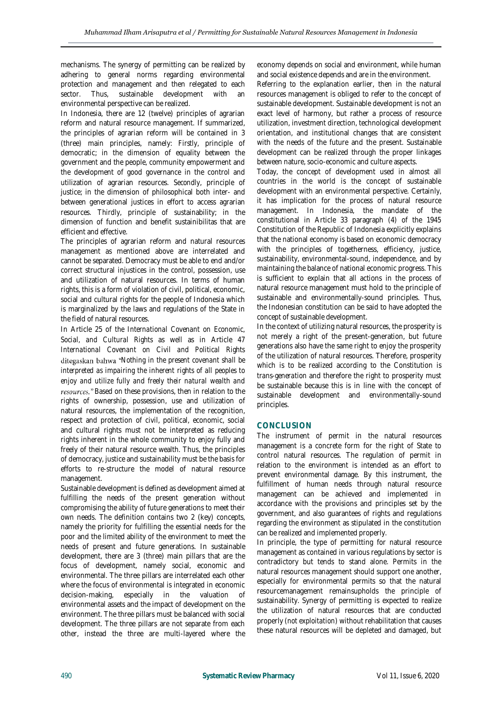mechanisms. The synergy of permitting can be realized by adhering to general norms regarding environmental protection and management and then relegated to each sector. Thus, sustainable development with an environmental perspective can be realized.

In Indonesia, there are 12 (twelve) principles of agrarian reform and natural resource management. If summarized, the principles of agrarian reform will be contained in 3 (three) main principles, namely: *Firstly*, principle of democratic; in the dimension of equality between the government and the people, community empowerment and the development of good governance in the control and utilization of agrarian resources. *Secondly*, principle of justice; in the dimension of philosophical both inter- and between generational justices in effort to access agrarian resources. *Thirdly*, principle of sustainability; in the dimension of function and benefit sustainibilitas that are efficient and effective.

The principles of agrarian reform and natural resources management as mentioned above are interrelated and cannot be separated. Democracy must be able to end and/or correct structural injustices in the control, possession, use and utilization of natural resources. In terms of human rights, this is a form of violation of civil, political, economic, social and cultural rights for the people of Indonesia which is marginalized by the laws and regulations of the State in the field of natural resources.

In Article 25 of *the International Covenant on Economic, Social, and Cultural Rights* as well as in Article 47 *International Covenant on Civil and Political Rights* ditegaskan bahwa "Nothing in the present covenant shall be *interpreted as impairing the inherent rights of all peoples to enjoy and utilize fully and freely their natural wealth and*  resources." Based on these provisions, then in relation to the rights of ownership, possession, use and utilization of natural resources, the implementation of the recognition, respect and protection of civil, political, economic, social and cultural rights must not be interpreted as reducing rights inherent in the whole community to enjoy fully and freely of their natural resource wealth. Thus, the principles of democracy, justice and sustainability must be the basis for efforts to re-structure the model of natural resource management.

Sustainable development is defined as development aimed at fulfilling the needs of the present generation without compromising the ability of future generations to meet their own needs. The definition contains two 2 (key) concepts, namely the priority for fulfilling the essential needs for the poor and the limited ability of the environment to meet the needs of present and future generations. In sustainable development, there are 3 (three) main pillars that are the focus of development, namely social, economic and environmental. The three pillars are interrelated each other where the focus of environmental is integrated in economic decision-making, especially in the valuation of environmental assets and the impact of development on the environment. The three pillars must be balanced with social development. The three pillars are not separate from each other, instead the three are multi-layered where the

economy depends on social and environment, while human and social existence depends and are in the environment.

Referring to the explanation earlier, then in the natural resources management is obliged to refer to the concept of sustainable development. Sustainable development is not an exact level of harmony, but rather a process of resource utilization, investment direction, technological development orientation, and institutional changes that are consistent with the needs of the future and the present. Sustainable development can be realized through the proper linkages between nature, socio-economic and culture aspects.

Today, the concept of development used in almost all countries in the world is the concept of sustainable development with an environmental perspective. Certainly, it has implication for the process of natural resource management. In Indonesia, the mandate of the constitutional in Article 33 paragraph (4) of the 1945 Constitution of the Republic of Indonesia explicitly explains that the national economy is based on economic democracy with the principles of togetherness, efficiency, justice, sustainability, environmental-sound, independence, and by maintaining the balance of national economic progress. This is sufficient to explain that all actions in the process of natural resource management must hold to the principle of sustainable and environmentally-sound principles. Thus, the Indonesian constitution can be said to have adopted the concept of sustainable development.

In the context of utilizing natural resources, the prosperity is not merely a right of the present-generation, but future generations also have the same right to enjoy the prosperity of the utilization of natural resources. Therefore, prosperity which is to be realized according to the Constitution is *trans-generation* and therefore the right to prosperity must be sustainable because this is in line with the concept of sustainable development and environmentally-sound principles.

## **CONCLUSION**

The instrument of permit in the natural resources management is a concrete form for the right of State to control natural resources. The regulation of permit in relation to the environment is intended as an effort to prevent environmental damage. By this instrument, the fulfillment of human needs through natural resource management can be achieved and implemented in accordance with the provisions and principles set by the government, and also guarantees of rights and regulations regarding the environment as stipulated in the constitution can be realized and implemented properly.

In principle, the type of permitting for natural resource management as contained in various regulations by sector is contradictory but tends to stand alone. Permits in the natural resources management should support one another, especially for environmental permits so that the natural resourcemanagement remainsupholds the principle of sustainability. Synergy of permitting is expected to realize the utilization of natural resources that are conducted properly (*not exploitation*) without rehabilitation that causes these natural resources will be depleted and damaged, but